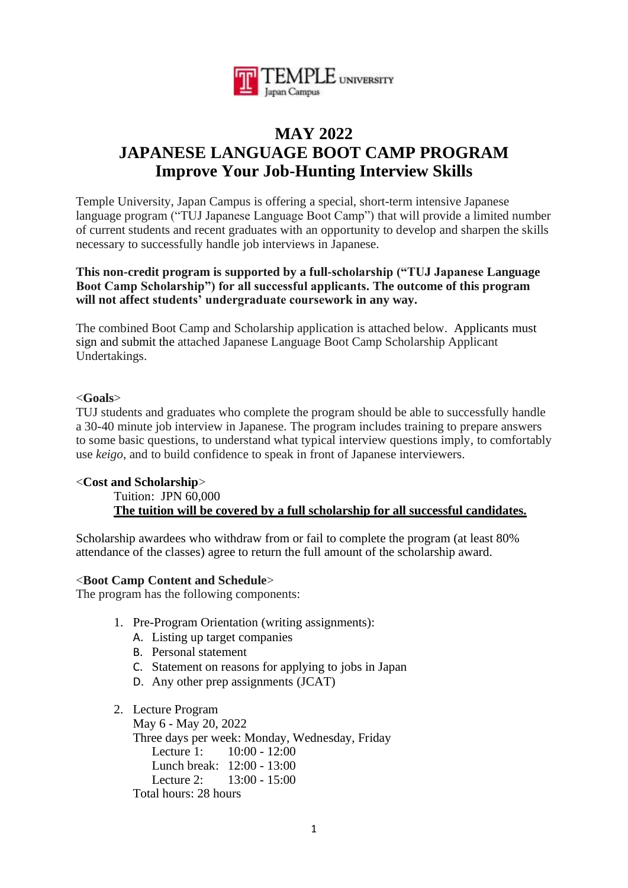

# **MAY 2022 JAPANESE LANGUAGE BOOT CAMP PROGRAM Improve Your Job-Hunting Interview Skills**

Temple University, Japan Campus is offering a special, short-term intensive Japanese language program ("TUJ Japanese Language Boot Camp") that will provide a limited number of current students and recent graduates with an opportunity to develop and sharpen the skills necessary to successfully handle job interviews in Japanese.

#### **This non-credit program is supported by a full-scholarship ("TUJ Japanese Language Boot Camp Scholarship") for all successful applicants. The outcome of this program will not affect students' undergraduate coursework in any way.**

The combined Boot Camp and Scholarship application is attached below. Applicants must sign and submit the attached Japanese Language Boot Camp Scholarship Applicant Undertakings.

#### <**Goals**>

TUJ students and graduates who complete the program should be able to successfully handle a 30-40 minute job interview in Japanese. The program includes training to prepare answers to some basic questions, to understand what typical interview questions imply, to comfortably use *keigo*, and to build confidence to speak in front of Japanese interviewers.

## <**Cost and Scholarship**>

# Tuition: JPN 60,000 **The tuition will be covered by a full scholarship for all successful candidates.**

Scholarship awardees who withdraw from or fail to complete the program (at least 80% attendance of the classes) agree to return the full amount of the scholarship award.

#### <**Boot Camp Content and Schedule**>

The program has the following components:

- 1. Pre-Program Orientation (writing assignments):
	- A. Listing up target companies
	- B. Personal statement
	- C. Statement on reasons for applying to jobs in Japan
	- D. Any other prep assignments (JCAT)
- 2. Lecture Program

May 6 - May 20, 2022 Three days per week: Monday, Wednesday, Friday Lecture 1: 10:00 - 12:00 Lunch break: 12:00 - 13:00 Lecture 2: 13:00 - 15:00 Total hours: 28 hours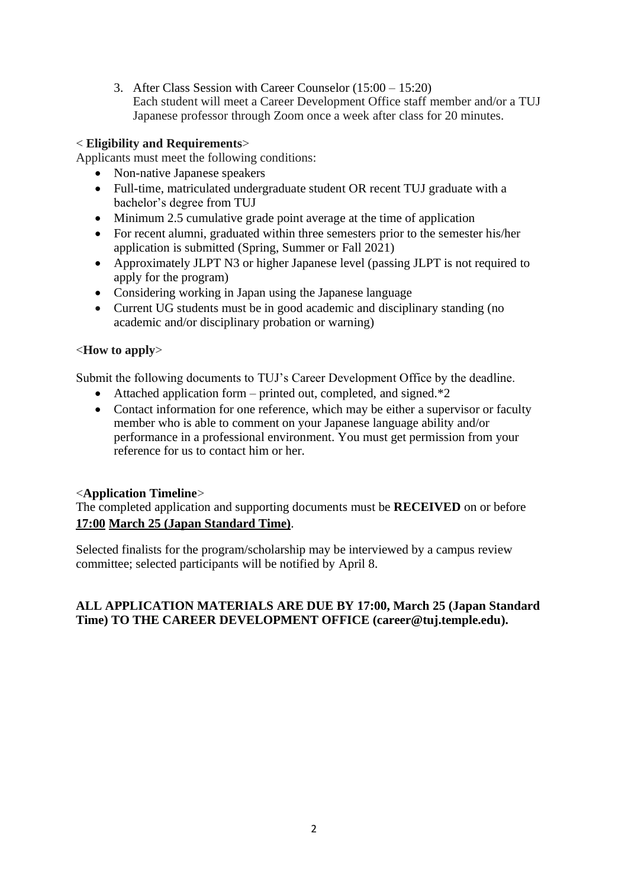3. After Class Session with Career Counselor (15:00 – 15:20) Each student will meet a Career Development Office staff member and/or a TUJ Japanese professor through Zoom once a week after class for 20 minutes.

# < **Eligibility and Requirements**>

Applicants must meet the following conditions:

- Non-native Japanese speakers
- Full-time, matriculated undergraduate student OR recent TUJ graduate with a bachelor's degree from TUJ
- Minimum 2.5 cumulative grade point average at the time of application
- For recent alumni, graduated within three semesters prior to the semester his/her application is submitted (Spring, Summer or Fall 2021)
- Approximately JLPT N3 or higher Japanese level (passing JLPT is not required to apply for the program)
- Considering working in Japan using the Japanese language
- Current UG students must be in good academic and disciplinary standing (no academic and/or disciplinary probation or warning)

## <**How to apply**>

Submit the following documents to TUJ's Career Development Office by the deadline.

- Attached application form printed out, completed, and signed. $*2$
- Contact information for one reference, which may be either a supervisor or faculty member who is able to comment on your Japanese language ability and/or performance in a professional environment. You must get permission from your reference for us to contact him or her.

## <**Application Timeline**>

The completed application and supporting documents must be **RECEIVED** on or before **17:00 March 25 (Japan Standard Time)**.

Selected finalists for the program/scholarship may be interviewed by a campus review committee; selected participants will be notified by April 8.

## **ALL APPLICATION MATERIALS ARE DUE BY 17:00, March 25 (Japan Standard Time) TO THE CAREER DEVELOPMENT OFFICE (career@tuj.temple.edu).**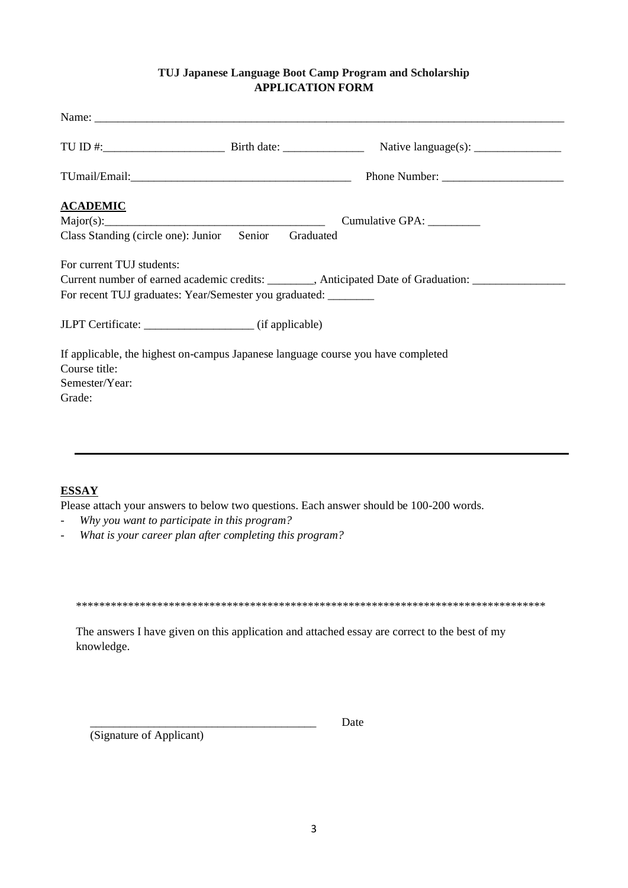#### **TUJ Japanese Language Boot Camp Program and Scholarship APPLICATION FORM**

| <b>ACADEMIC</b>           |                                                                                  |                                                                                                     |  |
|---------------------------|----------------------------------------------------------------------------------|-----------------------------------------------------------------------------------------------------|--|
|                           |                                                                                  | Cumulative GPA: _________                                                                           |  |
|                           | Class Standing (circle one): Junior Senior Graduated                             |                                                                                                     |  |
| For current TUJ students: |                                                                                  |                                                                                                     |  |
|                           |                                                                                  | Current number of earned academic credits: ________, Anticipated Date of Graduation: ______________ |  |
|                           | For recent TUJ graduates: Year/Semester you graduated: _______                   |                                                                                                     |  |
|                           |                                                                                  |                                                                                                     |  |
|                           | If applicable, the highest on-campus Japanese language course you have completed |                                                                                                     |  |
| Course title:             |                                                                                  |                                                                                                     |  |
| Semester/Year:            |                                                                                  |                                                                                                     |  |
| Grade:                    |                                                                                  |                                                                                                     |  |
|                           |                                                                                  |                                                                                                     |  |
|                           |                                                                                  |                                                                                                     |  |

## **ESSAY**

Please attach your answers to below two questions. Each answer should be 100-200 words.

- *Why you want to participate in this program?*
- *What is your career plan after completing this program?*

\*\*\*\*\*\*\*\*\*\*\*\*\*\*\*\*\*\*\*\*\*\*\*\*\*\*\*\*\*\*\*\*\*\*\*\*\*\*\*\*\*\*\*\*\*\*\*\*\*\*\*\*\*\*\*\*\*\*\*\*\*\*\*\*\*\*\*\*\*\*\*\*\*\*\*\*\*\*\*\*\*

The answers I have given on this application and attached essay are correct to the best of my knowledge.

(Signature of Applicant)

\_\_\_\_\_\_\_\_\_\_\_\_\_\_\_\_\_\_\_\_\_\_\_\_\_\_\_\_\_\_\_\_\_\_\_\_\_\_\_ Date